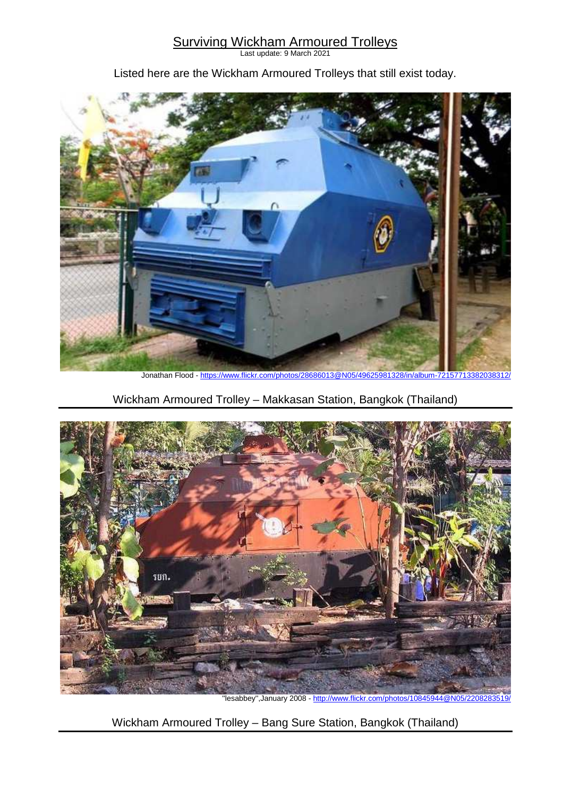## Surviving Wickham Armoured Trolleys

Last update: 9 March 2021

Listed here are the Wickham Armoured Trolleys that still exist today.



Jonathan Flood - https://www.flickr.com/photos/28686013@N05/49625981328/in/album-72157713382038312/

Wickham Armoured Trolley – Makkasan Station, Bangkok (Thailand)



"lesabbey",January 2008 - http://www.flickr.com/photos/10845944@N05/2208283519/

Wickham Armoured Trolley – Bang Sure Station, Bangkok (Thailand)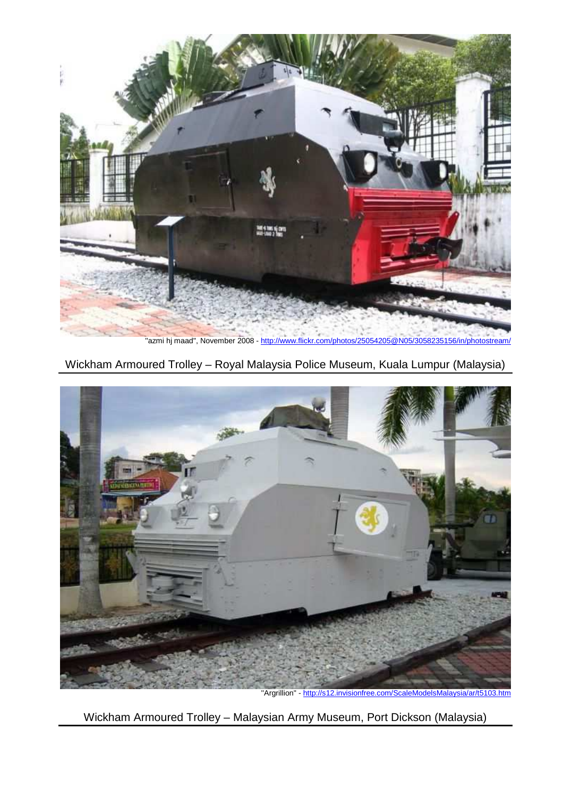

"azmi hj maad", November 2008 - http://www.flickr.com/photos/25054205@N05/3058235156/in/photostream/

Wickham Armoured Trolley – Royal Malaysia Police Museum, Kuala Lumpur (Malaysia)



''Argrillion'' - http://s12.invisionfree.com/ScaleModelsMalaysia/ar/t5103.htm

Wickham Armoured Trolley – Malaysian Army Museum, Port Dickson (Malaysia)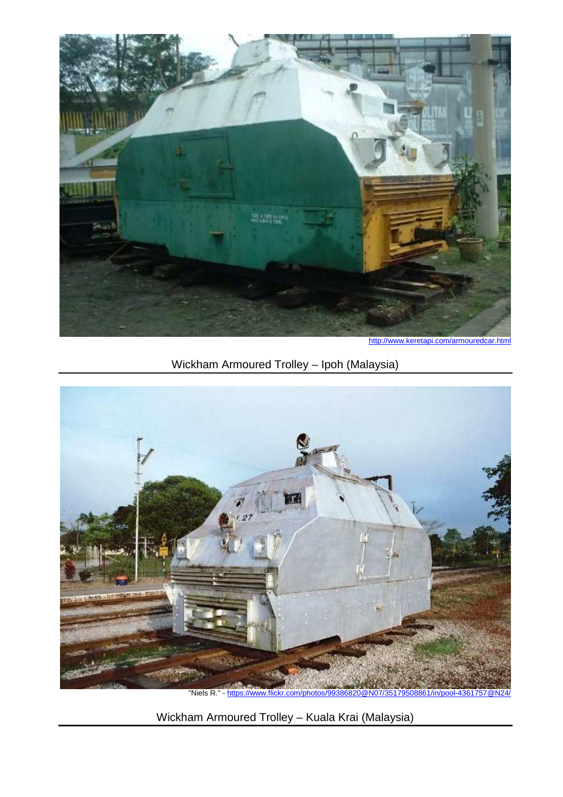

http://www.keretapi.com/armouredcar.html

## Wickham Armoured Trolley – Ipoh (Malaysia)



"Niels R." - https://www.flickr.com/photos/99386820@N07/35179508861/in/pool-4361757@N

Wickham Armoured Trolley – Kuala Krai (Malaysia)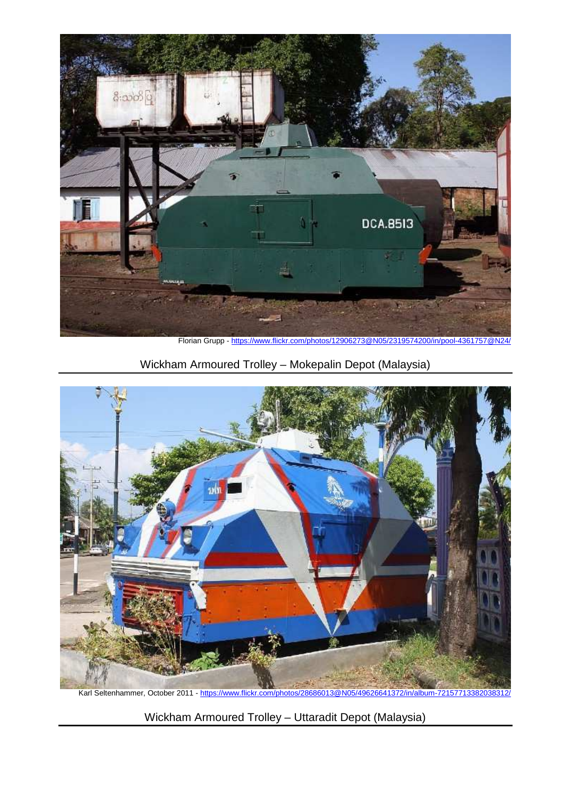

Florian Grupp - https://www.flickr.com/photos/12906273@N05/2319574200/in/pool-4361757@N24/

Wickham Armoured Trolley – Mokepalin Depot (Malaysia)



Karl Seltenhammer, October 2011 - https://www.flickr.com/photos/28686013@N05/49626641372/in/album-72157713382038312/

Wickham Armoured Trolley – Uttaradit Depot (Malaysia)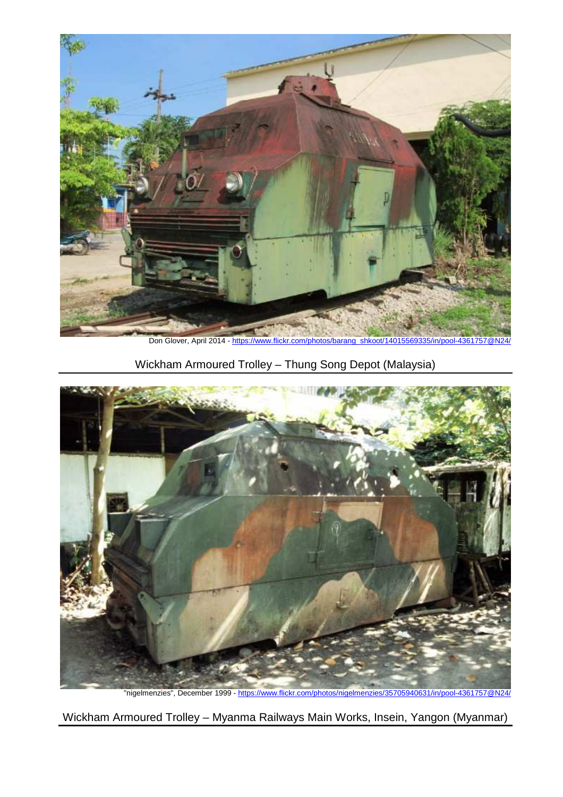

Don Glover, April 2014 - https://www.flickr.com/photos/barang\_shkoot/14015569335/in/pool-4361757@N24

Wickham Armoured Trolley – Thung Song Depot (Malaysia)



"nigelmenzies", December 1999 - https://www.flickr.com/photos/nigelmenzies/35705940631/in/pool-4361757@N24/

Wickham Armoured Trolley – Myanma Railways Main Works, Insein, Yangon (Myanmar)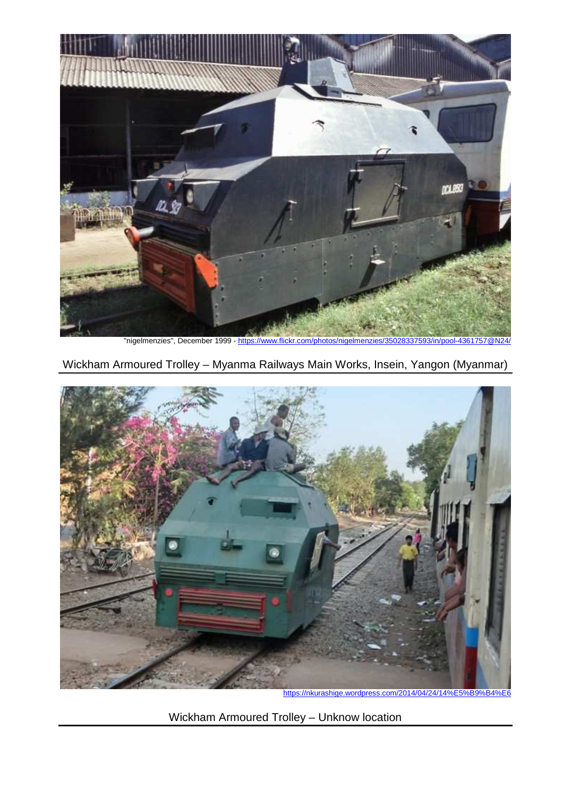

"nigelmenzies", December 1999 - https://www.flickr.com/photos/nigelmenzies/35028337593/in/pool-4361757

Wickham Armoured Trolley – Myanma Railways Main Works, Insein, Yangon (Myanmar)



https://nkurashige.wordpress.com/2014/04/24/14%E5%B9%B4%E6

Wickham Armoured Trolley – Unknow location